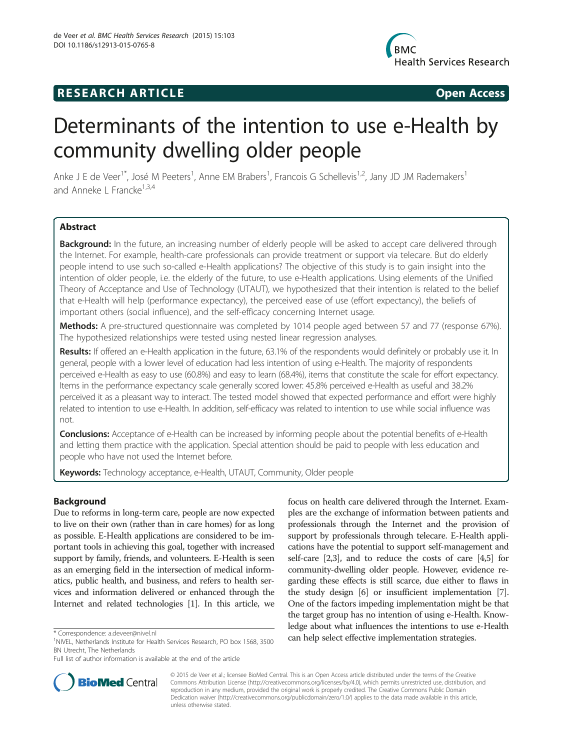## **RESEARCH ARTICLE Example 2014 CONSIDERING CONSIDERING CONSIDERING CONSIDERING CONSIDERING CONSIDERING CONSIDERING CONSIDERING CONSIDERING CONSIDERING CONSIDERING CONSIDERING CONSIDERING CONSIDERING CONSIDERING CONSIDE**



# Determinants of the intention to use e-Health by community dwelling older people

Anke J E de Veer<sup>1\*</sup>, José M Peeters<sup>1</sup>, Anne EM Brabers<sup>1</sup>, Francois G Schellevis<sup>1,2</sup>, Jany JD JM Rademakers<sup>1</sup> and Anneke L Francke<sup>1,3,4</sup>

## **Abstract**

Background: In the future, an increasing number of elderly people will be asked to accept care delivered through the Internet. For example, health-care professionals can provide treatment or support via telecare. But do elderly people intend to use such so-called e-Health applications? The objective of this study is to gain insight into the intention of older people, i.e. the elderly of the future, to use e-Health applications. Using elements of the Unified Theory of Acceptance and Use of Technology (UTAUT), we hypothesized that their intention is related to the belief that e-Health will help (performance expectancy), the perceived ease of use (effort expectancy), the beliefs of important others (social influence), and the self-efficacy concerning Internet usage.

Methods: A pre-structured questionnaire was completed by 1014 people aged between 57 and 77 (response 67%). The hypothesized relationships were tested using nested linear regression analyses.

Results: If offered an e-Health application in the future, 63.1% of the respondents would definitely or probably use it. In general, people with a lower level of education had less intention of using e-Health. The majority of respondents perceived e-Health as easy to use (60.8%) and easy to learn (68.4%), items that constitute the scale for effort expectancy. Items in the performance expectancy scale generally scored lower: 45.8% perceived e-Health as useful and 38.2% perceived it as a pleasant way to interact. The tested model showed that expected performance and effort were highly related to intention to use e-Health. In addition, self-efficacy was related to intention to use while social influence was not.

Conclusions: Acceptance of e-Health can be increased by informing people about the potential benefits of e-Health and letting them practice with the application. Special attention should be paid to people with less education and people who have not used the Internet before.

Keywords: Technology acceptance, e-Health, UTAUT, Community, Older people

## Background

Due to reforms in long-term care, people are now expected to live on their own (rather than in care homes) for as long as possible. E-Health applications are considered to be important tools in achieving this goal, together with increased support by family, friends, and volunteers. E-Health is seen as an emerging field in the intersection of medical informatics, public health, and business, and refers to health services and information delivered or enhanced through the Internet and related technologies [\[1](#page-7-0)]. In this article, we

focus on health care delivered through the Internet. Examples are the exchange of information between patients and professionals through the Internet and the provision of support by professionals through telecare. E-Health applications have the potential to support self-management and self-care [\[2,3\]](#page-7-0), and to reduce the costs of care [\[4,5](#page-7-0)] for community-dwelling older people. However, evidence regarding these effects is still scarce, due either to flaws in the study design [\[6\]](#page-7-0) or insufficient implementation [[7](#page-7-0)]. One of the factors impeding implementation might be that the target group has no intention of using e-Health. Knowledge about what influences the intentions to use e-Health \* Correspondence: [a.deveer@nivel.nl](mailto:a.deveer@nivel.nl)<br><sup>1</sup>NIVEL Netherlands Institute for Health Senvices Research, PO box 1568, 3500 **Can help select effective implementation strategies.** 



© 2015 de Veer et al.; licensee BioMed Central. This is an Open Access article distributed under the terms of the Creative Commons Attribution License [\(http://creativecommons.org/licenses/by/4.0\)](http://creativecommons.org/licenses/by/4.0), which permits unrestricted use, distribution, and reproduction in any medium, provided the original work is properly credited. The Creative Commons Public Domain Dedication waiver [\(http://creativecommons.org/publicdomain/zero/1.0/](http://creativecommons.org/publicdomain/zero/1.0/)) applies to the data made available in this article, unless otherwise stated.

<sup>&</sup>lt;sup>1</sup>NIVEL, Netherlands Institute for Health Services Research, PO box 1568, 3500 BN Utrecht, The Netherlands

Full list of author information is available at the end of the article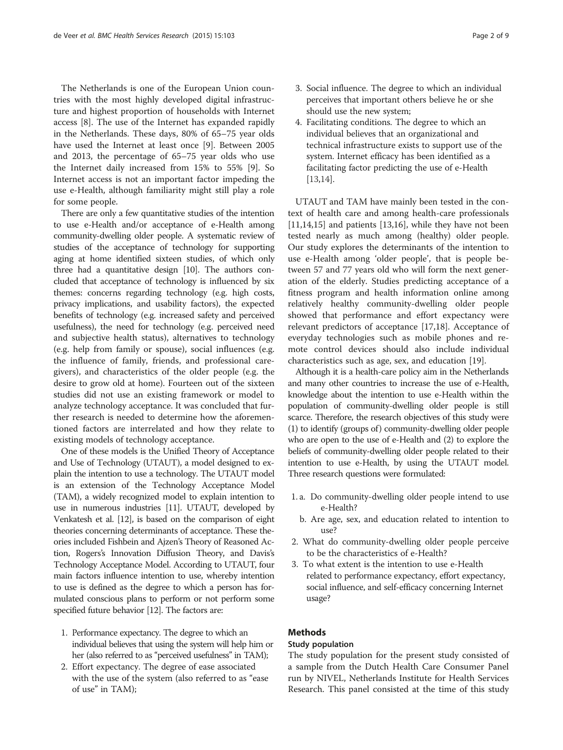The Netherlands is one of the European Union countries with the most highly developed digital infrastructure and highest proportion of households with Internet access [\[8](#page-7-0)]. The use of the Internet has expanded rapidly in the Netherlands. These days, 80% of 65–75 year olds have used the Internet at least once [[9\]](#page-7-0). Between 2005 and 2013, the percentage of 65–75 year olds who use the Internet daily increased from 15% to 55% [\[9](#page-7-0)]. So Internet access is not an important factor impeding the use e-Health, although familiarity might still play a role for some people.

There are only a few quantitative studies of the intention to use e-Health and/or acceptance of e-Health among community-dwelling older people. A systematic review of studies of the acceptance of technology for supporting aging at home identified sixteen studies, of which only three had a quantitative design [[10](#page-7-0)]. The authors concluded that acceptance of technology is influenced by six themes: concerns regarding technology (e.g. high costs, privacy implications, and usability factors), the expected benefits of technology (e.g. increased safety and perceived usefulness), the need for technology (e.g. perceived need and subjective health status), alternatives to technology (e.g. help from family or spouse), social influences (e.g. the influence of family, friends, and professional caregivers), and characteristics of the older people (e.g. the desire to grow old at home). Fourteen out of the sixteen studies did not use an existing framework or model to analyze technology acceptance. It was concluded that further research is needed to determine how the aforementioned factors are interrelated and how they relate to existing models of technology acceptance.

One of these models is the Unified Theory of Acceptance and Use of Technology (UTAUT), a model designed to explain the intention to use a technology. The UTAUT model is an extension of the Technology Acceptance Model (TAM), a widely recognized model to explain intention to use in numerous industries [\[11\]](#page-7-0). UTAUT, developed by Venkatesh et al. [\[12\]](#page-7-0), is based on the comparison of eight theories concerning determinants of acceptance. These theories included Fishbein and Ajzen's Theory of Reasoned Action, Rogers's Innovation Diffusion Theory, and Davis's Technology Acceptance Model. According to UTAUT, four main factors influence intention to use, whereby intention to use is defined as the degree to which a person has formulated conscious plans to perform or not perform some specified future behavior [\[12\]](#page-7-0). The factors are:

- 1. Performance expectancy. The degree to which an individual believes that using the system will help him or her (also referred to as "perceived usefulness" in TAM);
- 2. Effort expectancy. The degree of ease associated with the use of the system (also referred to as "ease of use" in TAM);
- 3. Social influence. The degree to which an individual perceives that important others believe he or she should use the new system;
- 4. Facilitating conditions. The degree to which an individual believes that an organizational and technical infrastructure exists to support use of the system. Internet efficacy has been identified as a facilitating factor predicting the use of e-Health [[13,14\]](#page-7-0).

UTAUT and TAM have mainly been tested in the context of health care and among health-care professionals [[11,14,15\]](#page-7-0) and patients [[13,](#page-7-0)[16\]](#page-8-0), while they have not been tested nearly as much among (healthy) older people. Our study explores the determinants of the intention to use e-Health among 'older people', that is people between 57 and 77 years old who will form the next generation of the elderly. Studies predicting acceptance of a fitness program and health information online among relatively healthy community-dwelling older people showed that performance and effort expectancy were relevant predictors of acceptance [\[17,18\]](#page-8-0). Acceptance of everyday technologies such as mobile phones and remote control devices should also include individual characteristics such as age, sex, and education [[19](#page-8-0)].

Although it is a health-care policy aim in the Netherlands and many other countries to increase the use of e-Health, knowledge about the intention to use e-Health within the population of community-dwelling older people is still scarce. Therefore, the research objectives of this study were (1) to identify (groups of ) community-dwelling older people who are open to the use of e-Health and (2) to explore the beliefs of community-dwelling older people related to their intention to use e-Health, by using the UTAUT model. Three research questions were formulated:

- 1. a. Do community-dwelling older people intend to use e-Health?
	- b. Are age, sex, and education related to intention to  $11S<sub>e</sub>$ ?
- 2. What do community-dwelling older people perceive to be the characteristics of e-Health?
- 3. To what extent is the intention to use e-Health related to performance expectancy, effort expectancy, social influence, and self-efficacy concerning Internet usage?

## Methods

## Study population

The study population for the present study consisted of a sample from the Dutch Health Care Consumer Panel run by NIVEL, Netherlands Institute for Health Services Research. This panel consisted at the time of this study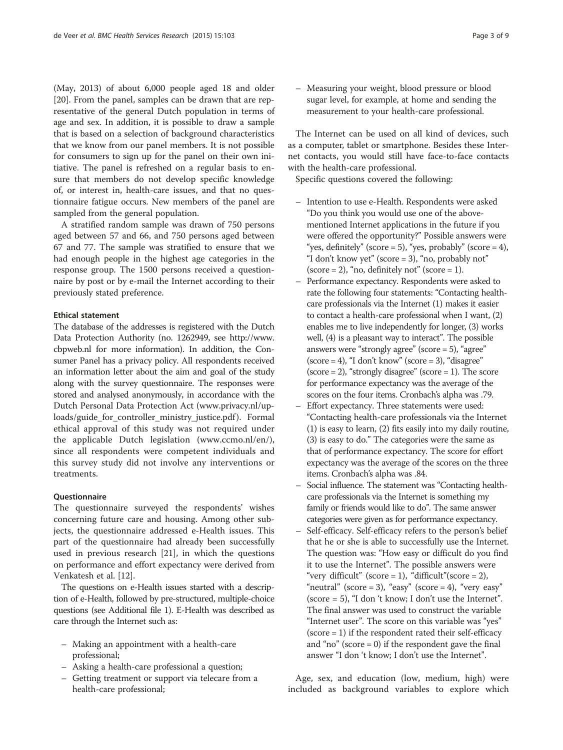(May, 2013) of about 6,000 people aged 18 and older [[20\]](#page-8-0). From the panel, samples can be drawn that are representative of the general Dutch population in terms of age and sex. In addition, it is possible to draw a sample that is based on a selection of background characteristics that we know from our panel members. It is not possible for consumers to sign up for the panel on their own initiative. The panel is refreshed on a regular basis to ensure that members do not develop specific knowledge of, or interest in, health-care issues, and that no questionnaire fatigue occurs. New members of the panel are sampled from the general population.

A stratified random sample was drawn of 750 persons aged between 57 and 66, and 750 persons aged between 67 and 77. The sample was stratified to ensure that we had enough people in the highest age categories in the response group. The 1500 persons received a questionnaire by post or by e-mail the Internet according to their previously stated preference.

#### Ethical statement

The database of the addresses is registered with the Dutch Data Protection Authority (no. 1262949, see [http://www.](http://www.cbpweb.nl) [cbpweb.nl](http://www.cbpweb.nl) for more information). In addition, the Consumer Panel has a privacy policy. All respondents received an information letter about the aim and goal of the study along with the survey questionnaire. The responses were stored and analysed anonymously, in accordance with the Dutch Personal Data Protection Act [\(www.privacy.nl/up](http://www.privacy.nl/uploads/guide_for_controller_ministry_justice.pdf)loads/guide for controller ministry justice.pdf). Formal ethical approval of this study was not required under the applicable Dutch legislation ([www.ccmo.nl/en/](http://www.ccmo.nl/en/)), since all respondents were competent individuals and this survey study did not involve any interventions or treatments.

#### **Questionnaire**

The questionnaire surveyed the respondents' wishes concerning future care and housing. Among other subjects, the questionnaire addressed e-Health issues. This part of the questionnaire had already been successfully used in previous research [\[21](#page-8-0)], in which the questions on performance and effort expectancy were derived from Venkatesh et al. [[12\]](#page-7-0).

The questions on e-Health issues started with a description of e-Health, followed by pre-structured, multiple-choice questions (see Additional file [1](#page-7-0)). E-Health was described as care through the Internet such as:

- Making an appointment with a health-care professional;
- Asking a health-care professional a question;
- Getting treatment or support via telecare from a health-care professional;

– Measuring your weight, blood pressure or blood sugar level, for example, at home and sending the measurement to your health-care professional.

The Internet can be used on all kind of devices, such as a computer, tablet or smartphone. Besides these Internet contacts, you would still have face-to-face contacts with the health-care professional.

Specific questions covered the following:

- Intention to use e-Health. Respondents were asked "Do you think you would use one of the abovementioned Internet applications in the future if you were offered the opportunity?" Possible answers were "yes, definitely" (score = 5), "yes, probably" (score = 4), "I don't know yet" (score = 3), "no, probably not"  $(score = 2)$ , "no, definitely not"  $(score = 1)$ .
- Performance expectancy. Respondents were asked to rate the following four statements: "Contacting healthcare professionals via the Internet (1) makes it easier to contact a health-care professional when I want, (2) enables me to live independently for longer, (3) works well, (4) is a pleasant way to interact". The possible answers were "strongly agree" (score = 5), "agree" (score = 4), "I don't know" (score = 3), "disagree" (score  $= 2$ ), "strongly disagree" (score  $= 1$ ). The score for performance expectancy was the average of the scores on the four items. Cronbach's alpha was .79.
- Effort expectancy. Three statements were used: "Contacting health-care professionals via the Internet (1) is easy to learn, (2) fits easily into my daily routine, (3) is easy to do." The categories were the same as that of performance expectancy. The score for effort expectancy was the average of the scores on the three items. Cronbach's alpha was .84.
- Social influence. The statement was "Contacting healthcare professionals via the Internet is something my family or friends would like to do". The same answer categories were given as for performance expectancy.
- Self-efficacy. Self-efficacy refers to the person's belief that he or she is able to successfully use the Internet. The question was: "How easy or difficult do you find it to use the Internet". The possible answers were "very difficult" (score = 1), "difficult" (score = 2), "neutral" (score = 3), "easy" (score = 4), "very easy" (score = 5), "I don 't know; I don't use the Internet". The final answer was used to construct the variable "Internet user". The score on this variable was "yes" (score = 1) if the respondent rated their self-efficacy and "no" (score  $= 0$ ) if the respondent gave the final answer "I don 't know; I don't use the Internet".

Age, sex, and education (low, medium, high) were included as background variables to explore which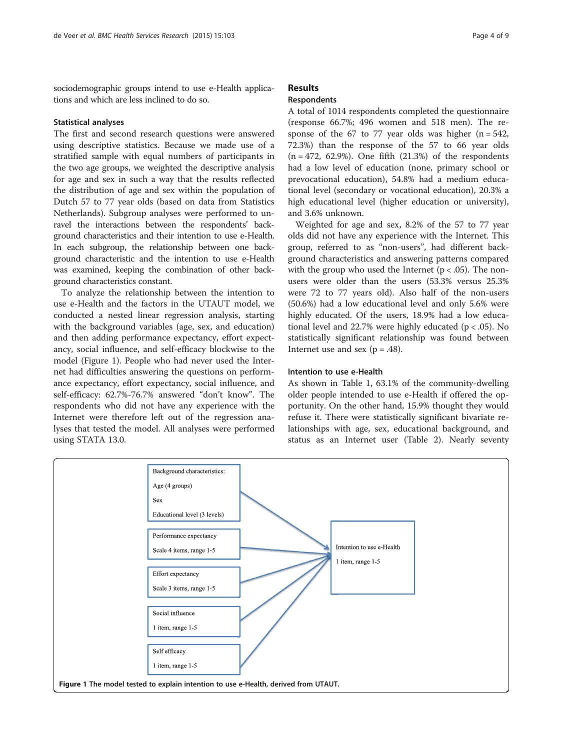sociodemographic groups intend to use e-Health applications and which are less inclined to do so.

## Statistical analyses

The first and second research questions were answered using descriptive statistics. Because we made use of a stratified sample with equal numbers of participants in the two age groups, we weighted the descriptive analysis for age and sex in such a way that the results reflected the distribution of age and sex within the population of Dutch 57 to 77 year olds (based on data from Statistics Netherlands). Subgroup analyses were performed to unravel the interactions between the respondents' background characteristics and their intention to use e-Health. In each subgroup, the relationship between one background characteristic and the intention to use e-Health was examined, keeping the combination of other background characteristics constant.

To analyze the relationship between the intention to use e-Health and the factors in the UTAUT model, we conducted a nested linear regression analysis, starting with the background variables (age, sex, and education) and then adding performance expectancy, effort expectancy, social influence, and self-efficacy blockwise to the model (Figure 1). People who had never used the Internet had difficulties answering the questions on performance expectancy, effort expectancy, social influence, and self-efficacy: 62.7%-76.7% answered "don't know". The respondents who did not have any experience with the Internet were therefore left out of the regression analyses that tested the model. All analyses were performed using STATA 13.0.

## Results

## Respondents

A total of 1014 respondents completed the questionnaire (response 66.7%; 496 women and 518 men). The response of the 67 to 77 year olds was higher  $(n = 542,$ 72.3%) than the response of the 57 to 66 year olds  $(n = 472, 62.9\%)$ . One fifth  $(21.3\%)$  of the respondents had a low level of education (none, primary school or prevocational education), 54.8% had a medium educational level (secondary or vocational education), 20.3% a high educational level (higher education or university), and 3.6% unknown.

Weighted for age and sex, 8.2% of the 57 to 77 year olds did not have any experience with the Internet. This group, referred to as "non-users", had different background characteristics and answering patterns compared with the group who used the Internet ( $p < .05$ ). The nonusers were older than the users (53.3% versus 25.3% were 72 to 77 years old). Also half of the non-users (50.6%) had a low educational level and only 5.6% were highly educated. Of the users, 18.9% had a low educational level and 22.7% were highly educated ( $p < .05$ ). No statistically significant relationship was found between Internet use and sex  $(p = .48)$ .

#### Intention to use e-Health

As shown in Table [1](#page-4-0), 63.1% of the community-dwelling older people intended to use e-Health if offered the opportunity. On the other hand, 15.9% thought they would refuse it. There were statistically significant bivariate relationships with age, sex, educational background, and status as an Internet user (Table [2\)](#page-4-0). Nearly seventy

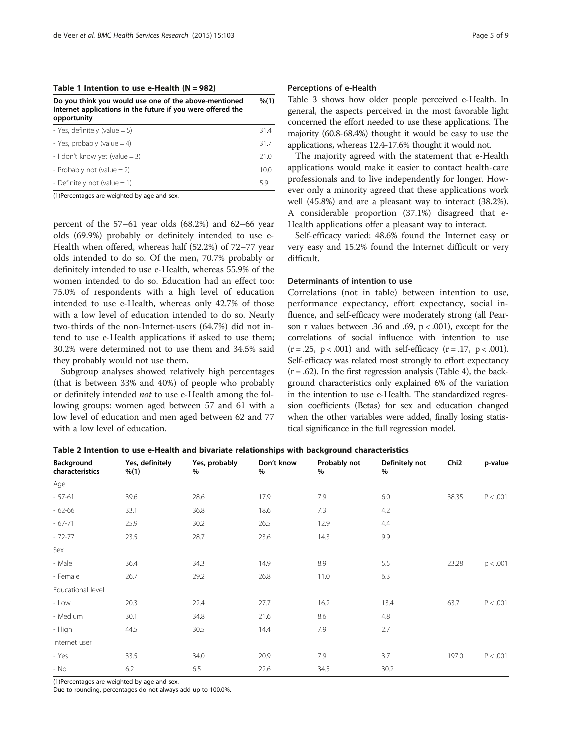<span id="page-4-0"></span>Table 1 Intention to use e-Health  $(N = 982)$ 

| Do you think you would use one of the above-mentioned<br>Internet applications in the future if you were offered the<br>opportunity | % (1) |
|-------------------------------------------------------------------------------------------------------------------------------------|-------|
| - Yes, definitely (value $= 5$ )                                                                                                    | 31.4  |
| - Yes, probably (value $=$ 4)                                                                                                       | 31.7  |
| - I don't know yet (value $=$ 3)                                                                                                    | 21.0  |
| - Probably not (value $= 2$ )                                                                                                       | 10.0  |
| - Definitely not (value $= 1$ )                                                                                                     | 59    |

(1)Percentages are weighted by age and sex.

percent of the 57–61 year olds (68.2%) and 62–66 year olds (69.9%) probably or definitely intended to use e-Health when offered, whereas half (52.2%) of 72–77 year olds intended to do so. Of the men, 70.7% probably or definitely intended to use e-Health, whereas 55.9% of the women intended to do so. Education had an effect too: 75.0% of respondents with a high level of education intended to use e-Health, whereas only 42.7% of those with a low level of education intended to do so. Nearly two-thirds of the non-Internet-users (64.7%) did not intend to use e-Health applications if asked to use them; 30.2% were determined not to use them and 34.5% said they probably would not use them.

Subgroup analyses showed relatively high percentages (that is between 33% and 40%) of people who probably or definitely intended not to use e-Health among the following groups: women aged between 57 and 61 with a low level of education and men aged between 62 and 77 with a low level of education.

#### Perceptions of e-Health

Table [3](#page-5-0) shows how older people perceived e-Health. In general, the aspects perceived in the most favorable light concerned the effort needed to use these applications. The majority (60.8-68.4%) thought it would be easy to use the applications, whereas 12.4-17.6% thought it would not.

The majority agreed with the statement that e-Health applications would make it easier to contact health-care professionals and to live independently for longer. However only a minority agreed that these applications work well (45.8%) and are a pleasant way to interact (38.2%). A considerable proportion (37.1%) disagreed that e-Health applications offer a pleasant way to interact.

Self-efficacy varied: 48.6% found the Internet easy or very easy and 15.2% found the Internet difficult or very difficult.

## Determinants of intention to use

Correlations (not in table) between intention to use, performance expectancy, effort expectancy, social influence, and self-efficacy were moderately strong (all Pearson r values between .36 and .69,  $p < .001$ ), except for the correlations of social influence with intention to use  $(r = .25, p < .001)$  and with self-efficacy  $(r = .17, p < .001)$ . Self-efficacy was related most strongly to effort expectancy  $(r = .62)$ . In the first regression analysis (Table [4\)](#page-5-0), the background characteristics only explained 6% of the variation in the intention to use e-Health. The standardized regression coefficients (Betas) for sex and education changed when the other variables were added, finally losing statistical significance in the full regression model.

Table 2 Intention to use e-Health and bivariate relationships with background characteristics

| Background<br>characteristics | Yes, definitely<br>%(1) | Yes, probably<br>$\%$ | Don't know<br>$\%$ | Probably not<br>% | Definitely not<br>% | Chi <sub>2</sub> | p-value  |
|-------------------------------|-------------------------|-----------------------|--------------------|-------------------|---------------------|------------------|----------|
| Age                           |                         |                       |                    |                   |                     |                  |          |
| $-57-61$                      | 39.6                    | 28.6                  | 17.9               | 7.9               | 6.0                 | 38.35            | P < .001 |
| $-62-66$                      | 33.1                    | 36.8                  | 18.6               | 7.3               | 4.2                 |                  |          |
| $-67-71$                      | 25.9                    | 30.2                  | 26.5               | 12.9              | 4.4                 |                  |          |
| $-72-77$                      | 23.5                    | 28.7                  | 23.6               | 14.3              | 9.9                 |                  |          |
| Sex                           |                         |                       |                    |                   |                     |                  |          |
| - Male                        | 36.4                    | 34.3                  | 14.9               | 8.9               | 5.5                 | 23.28            | p < .001 |
| - Female                      | 26.7                    | 29.2                  | 26.8               | 11.0              | 6.3                 |                  |          |
| Educational level             |                         |                       |                    |                   |                     |                  |          |
| - Low                         | 20.3                    | 22.4                  | 27.7               | 16.2              | 13.4                | 63.7             | P < .001 |
| - Medium                      | 30.1                    | 34.8                  | 21.6               | 8.6               | 4.8                 |                  |          |
| - High                        | 44.5                    | 30.5                  | 14.4               | 7.9               | 2.7                 |                  |          |
| Internet user                 |                         |                       |                    |                   |                     |                  |          |
| - Yes                         | 33.5                    | 34.0                  | 20.9               | 7.9               | 3.7                 | 197.0            | P < .001 |
| $-$ No                        | 6.2                     | 6.5                   | 22.6               | 34.5              | 30.2                |                  |          |

(1)Percentages are weighted by age and sex.

Due to rounding, percentages do not always add up to 100.0%.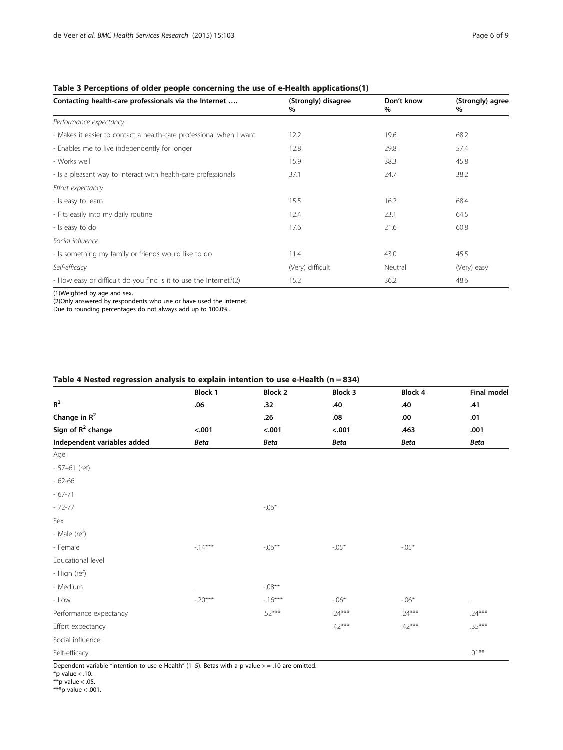| Contacting health-care professionals via the Internet               | (Strongly) disagree<br>$\%$ | Don't know<br>% | (Strongly) agree<br>% |  |
|---------------------------------------------------------------------|-----------------------------|-----------------|-----------------------|--|
| Performance expectancy                                              |                             |                 |                       |  |
| - Makes it easier to contact a health-care professional when I want | 12.2                        | 19.6            | 68.2                  |  |
| - Enables me to live independently for longer                       | 12.8                        | 29.8            | 57.4                  |  |
| - Works well                                                        | 15.9                        | 38.3            | 45.8                  |  |
| - Is a pleasant way to interact with health-care professionals      | 37.1                        | 24.7            | 38.2                  |  |
| Effort expectancy                                                   |                             |                 |                       |  |
| - Is easy to learn                                                  | 15.5                        | 16.2            | 68.4                  |  |
| - Fits easily into my daily routine                                 | 12.4                        | 23.1            | 64.5                  |  |
| - Is easy to do                                                     | 17.6                        | 21.6            | 60.8                  |  |
| Social influence                                                    |                             |                 |                       |  |
| - Is something my family or friends would like to do                | 11.4                        | 43.0            | 45.5                  |  |
| Self-efficacy                                                       | (Very) difficult            | Neutral         | (Very) easy           |  |
| - How easy or difficult do you find is it to use the Internet?(2)   | 15.2                        | 36.2            | 48.6                  |  |

## <span id="page-5-0"></span>Table 3 Perceptions of older people concerning the use of e-Health applications(1)

(1)Weighted by age and sex.

(2)Only answered by respondents who use or have used the Internet.

Due to rounding percentages do not always add up to 100.0%.

## Table 4 Nested regression analysis to explain intention to use e-Health (n = 834)

|                             | <b>Block 1</b> | <b>Block 2</b> | Block 3     | Block 4     | <b>Final model</b> |
|-----------------------------|----------------|----------------|-------------|-------------|--------------------|
| $R^2$                       | .06            | .32            | .40         | .40         | .41                |
| Change in $R^2$             |                | .26            | .08         | .00.        | .01                |
| Sign of $R^2$ change        | < .001         | < .001         | < .001      | .463        | .001               |
| Independent variables added | <b>Beta</b>    | <b>Beta</b>    | <b>Beta</b> | <b>Beta</b> | <b>Beta</b>        |
| Age                         |                |                |             |             |                    |
| $-57-61$ (ref)              |                |                |             |             |                    |
| $-62-66$                    |                |                |             |             |                    |
| $-67-71$                    |                |                |             |             |                    |
| $-72-77$                    |                | $-06*$         |             |             |                    |
| Sex                         |                |                |             |             |                    |
| - Male (ref)                |                |                |             |             |                    |
| - Female                    | $-14***$       | $-06**$        | $-05*$      | $-05*$      |                    |
| Educational level           |                |                |             |             |                    |
| - High (ref)                |                |                |             |             |                    |
| - Medium                    |                | $-08**$        |             |             |                    |
| $-LOW$                      | $-.20***$      | $-16***$       | $-06*$      | $-0.06*$    |                    |
| Performance expectancy      |                | $.52***$       | $.24***$    | $.24***$    | $.24***$           |
| Effort expectancy           |                |                | $.42***$    | $.42***$    | $.35***$           |
| Social influence            |                |                |             |             |                    |
| Self-efficacy               |                |                |             |             | $.01***$           |

Dependent variable "intention to use e-Health" (1–5). Betas with a p value  $>$  = .10 are omitted.

 $*$ p value < .10.

 $**$ p value < .05.

\*\*\*p value  $< .001$ .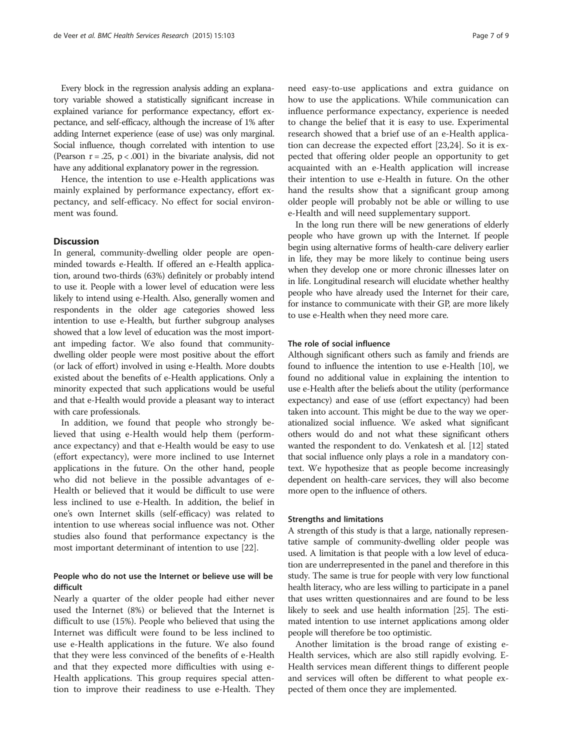Every block in the regression analysis adding an explanatory variable showed a statistically significant increase in explained variance for performance expectancy, effort expectance, and self-efficacy, although the increase of 1% after adding Internet experience (ease of use) was only marginal. Social influence, though correlated with intention to use (Pearson  $r = .25$ ,  $p < .001$ ) in the bivariate analysis, did not have any additional explanatory power in the regression.

Hence, the intention to use e-Health applications was mainly explained by performance expectancy, effort expectancy, and self-efficacy. No effect for social environment was found.

## Discussion

In general, community-dwelling older people are openminded towards e-Health. If offered an e-Health application, around two-thirds (63%) definitely or probably intend to use it. People with a lower level of education were less likely to intend using e-Health. Also, generally women and respondents in the older age categories showed less intention to use e-Health, but further subgroup analyses showed that a low level of education was the most important impeding factor. We also found that communitydwelling older people were most positive about the effort (or lack of effort) involved in using e-Health. More doubts existed about the benefits of e-Health applications. Only a minority expected that such applications would be useful and that e-Health would provide a pleasant way to interact with care professionals.

In addition, we found that people who strongly believed that using e-Health would help them (performance expectancy) and that e-Health would be easy to use (effort expectancy), were more inclined to use Internet applications in the future. On the other hand, people who did not believe in the possible advantages of e-Health or believed that it would be difficult to use were less inclined to use e-Health. In addition, the belief in one's own Internet skills (self-efficacy) was related to intention to use whereas social influence was not. Other studies also found that performance expectancy is the most important determinant of intention to use [[22](#page-8-0)].

## People who do not use the Internet or believe use will be difficult

Nearly a quarter of the older people had either never used the Internet (8%) or believed that the Internet is difficult to use (15%). People who believed that using the Internet was difficult were found to be less inclined to use e-Health applications in the future. We also found that they were less convinced of the benefits of e-Health and that they expected more difficulties with using e-Health applications. This group requires special attention to improve their readiness to use e-Health. They

need easy-to-use applications and extra guidance on how to use the applications. While communication can influence performance expectancy, experience is needed to change the belief that it is easy to use. Experimental research showed that a brief use of an e-Health application can decrease the expected effort [[23](#page-8-0),[24](#page-8-0)]. So it is expected that offering older people an opportunity to get acquainted with an e-Health application will increase their intention to use e-Health in future. On the other hand the results show that a significant group among older people will probably not be able or willing to use e-Health and will need supplementary support.

In the long run there will be new generations of elderly people who have grown up with the Internet. If people begin using alternative forms of health-care delivery earlier in life, they may be more likely to continue being users when they develop one or more chronic illnesses later on in life. Longitudinal research will elucidate whether healthy people who have already used the Internet for their care, for instance to communicate with their GP, are more likely to use e-Health when they need more care.

#### The role of social influence

Although significant others such as family and friends are found to influence the intention to use e-Health [\[10\]](#page-7-0), we found no additional value in explaining the intention to use e-Health after the beliefs about the utility (performance expectancy) and ease of use (effort expectancy) had been taken into account. This might be due to the way we operationalized social influence. We asked what significant others would do and not what these significant others wanted the respondent to do. Venkatesh et al. [\[12\]](#page-7-0) stated that social influence only plays a role in a mandatory context. We hypothesize that as people become increasingly dependent on health-care services, they will also become more open to the influence of others.

#### Strengths and limitations

A strength of this study is that a large, nationally representative sample of community-dwelling older people was used. A limitation is that people with a low level of education are underrepresented in the panel and therefore in this study. The same is true for people with very low functional health literacy, who are less willing to participate in a panel that uses written questionnaires and are found to be less likely to seek and use health information [[25](#page-8-0)]. The estimated intention to use internet applications among older people will therefore be too optimistic.

Another limitation is the broad range of existing e-Health services, which are also still rapidly evolving. E-Health services mean different things to different people and services will often be different to what people expected of them once they are implemented.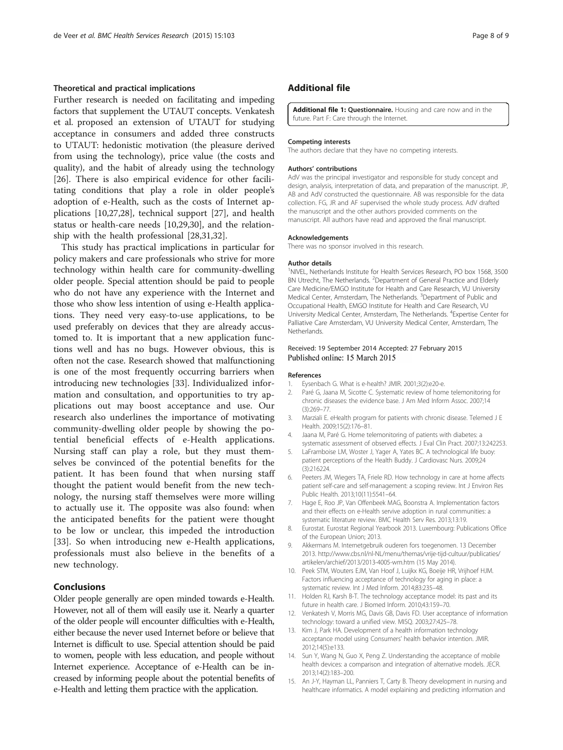#### <span id="page-7-0"></span>Theoretical and practical implications

Further research is needed on facilitating and impeding factors that supplement the UTAUT concepts. Venkatesh et al. proposed an extension of UTAUT for studying acceptance in consumers and added three constructs to UTAUT: hedonistic motivation (the pleasure derived from using the technology), price value (the costs and quality), and the habit of already using the technology [[26\]](#page-8-0). There is also empirical evidence for other facilitating conditions that play a role in older people's adoption of e-Health, such as the costs of Internet applications [10[,27,28](#page-8-0)], technical support [[27\]](#page-8-0), and health status or health-care needs [10,[29,30\]](#page-8-0), and the relationship with the health professional [\[28,31,32](#page-8-0)].

This study has practical implications in particular for policy makers and care professionals who strive for more technology within health care for community-dwelling older people. Special attention should be paid to people who do not have any experience with the Internet and those who show less intention of using e-Health applications. They need very easy-to-use applications, to be used preferably on devices that they are already accustomed to. It is important that a new application functions well and has no bugs. However obvious, this is often not the case. Research showed that malfunctioning is one of the most frequently occurring barriers when introducing new technologies [\[33](#page-8-0)]. Individualized information and consultation, and opportunities to try applications out may boost acceptance and use. Our research also underlines the importance of motivating community-dwelling older people by showing the potential beneficial effects of e-Health applications. Nursing staff can play a role, but they must themselves be convinced of the potential benefits for the patient. It has been found that when nursing staff thought the patient would benefit from the new technology, the nursing staff themselves were more willing to actually use it. The opposite was also found: when the anticipated benefits for the patient were thought to be low or unclear, this impeded the introduction [[33\]](#page-8-0). So when introducing new e-Health applications, professionals must also believe in the benefits of a new technology.

## Conclusions

Older people generally are open minded towards e-Health. However, not all of them will easily use it. Nearly a quarter of the older people will encounter difficulties with e-Health, either because the never used Internet before or believe that Internet is difficult to use. Special attention should be paid to women, people with less education, and people without Internet experience. Acceptance of e-Health can be increased by informing people about the potential benefits of e-Health and letting them practice with the application.

## Additional file

[Additional file 1:](http://www.biomedcentral.com/content/supplementary/s12913-015-0765-8-s1.docx) Questionnaire. Housing and care now and in the future. Part F: Care through the Internet.

#### Competing interests

The authors declare that they have no competing interests.

#### Authors' contributions

AdV was the principal investigator and responsible for study concept and design, analysis, interpretation of data, and preparation of the manuscript. JP, AB and AdV constructed the questionnaire. AB was responsible for the data collection. FG, JR and AF supervised the whole study process. AdV drafted the manuscript and the other authors provided comments on the manuscript. All authors have read and approved the final manuscript.

#### Acknowledgements

There was no sponsor involved in this research.

#### Author details

<sup>1</sup>NIVEL, Netherlands Institute for Health Services Research, PO box 1568, 3500 BN Utrecht, The Netherlands. <sup>2</sup>Department of General Practice and Elderly Care Medicine/EMGO Institute for Health and Care Research, VU University Medical Center, Amsterdam, The Netherlands. <sup>3</sup>Department of Public and Occupational Health, EMGO Institute for Health and Care Research, VU University Medical Center, Amsterdam, The Netherlands. <sup>4</sup>Expertise Center for Palliative Care Amsterdam, VU University Medical Center, Amsterdam, The **Netherlands** 

#### Received: 19 September 2014 Accepted: 27 February 2015 Published online: 15 March 2015

#### References

- 1. Eysenbach G. What is e-health? JMIR. 2001;3(2):e20-e.
- 2. Paré G, Jaana M, Sicotte C. Systematic review of home telemonitoring for chronic diseases: the evidence base. J Am Med Inform Assoc. 2007;14 (3):269–77.
- 3. Marziali E. eHealth program for patients with chronic disease. Telemed J E Health. 2009;15(2):176–81.
- 4. Jaana M, Paré G. Home telemonitoring of patients with diabetes: a systematic assessment of observed effects. J Eval Clin Pract. 2007;13:242253.
- 5. LaFramboise LM, Woster J, Yager A, Yates BC. A technological life buoy: patient perceptions of the Health Buddy. J Cardiovasc Nurs. 2009;24 (3):216224.
- 6. Peeters JM, Wiegers TA, Friele RD. How technology in care at home affects patient self-care and self-management: a scoping review. Int J Environ Res Public Health. 2013;10(11):5541–64.
- 7. Hage E, Roo JP, Van Offenbeek MAG, Boonstra A. Implementation factors and their effects on e-Health servive adoption in rural communities: a systematic literature review. BMC Health Serv Res. 2013;13:19.
- 8. Eurostat. Eurostat Regional Yearbook 2013. Luxembourg: Publications Office of the European Union; 2013.
- 9. Akkermans M. Internetgebruik ouderen fors toegenomen. 13 December 2013. [http://www.cbs.nl/nl-NL/menu/themas/vrije-tijd-cultuur/publicaties/](http://www.cbs.nl/nl-NL/menu/themas/vrije-tijd-cultuur/publicaties/artikelen/archief/2013/2013-4005-wm.htm) [artikelen/archief/2013/2013-4005-wm.htm](http://www.cbs.nl/nl-NL/menu/themas/vrije-tijd-cultuur/publicaties/artikelen/archief/2013/2013-4005-wm.htm) (15 May 2014).
- 10. Peek STM, Wouters EJM, Van Hoof J, Luijkx KG, Boeije HR, Vrijhoef HJM. Factors influencing acceptance of technology for aging in place: a systematic review. Int J Med Inform. 2014;83:235–48.
- 11. Holden RJ, Karsh B-T. The technology acceptance model: its past and its future in health care. J Biomed Inform. 2010;43:159–70.
- 12. Venkatesh V, Morris MG, Davis GB, Davis FD. User acceptance of information technology: toward a unified view. MISQ. 2003;27:425–78.
- 13. Kim J, Park HA. Development of a health information technology acceptance model using Consumers' health behavior intention. JMIR. 2012;14(5):e133.
- 14. Sun Y, Wang N, Guo X, Peng Z. Understanding the acceptance of mobile health devices: a comparison and integration of alternative models. JECR. 2013;14(2):183–200.
- 15. An J-Y, Hayman LL, Panniers T, Carty B. Theory development in nursing and healthcare informatics. A model explaining and predicting information and